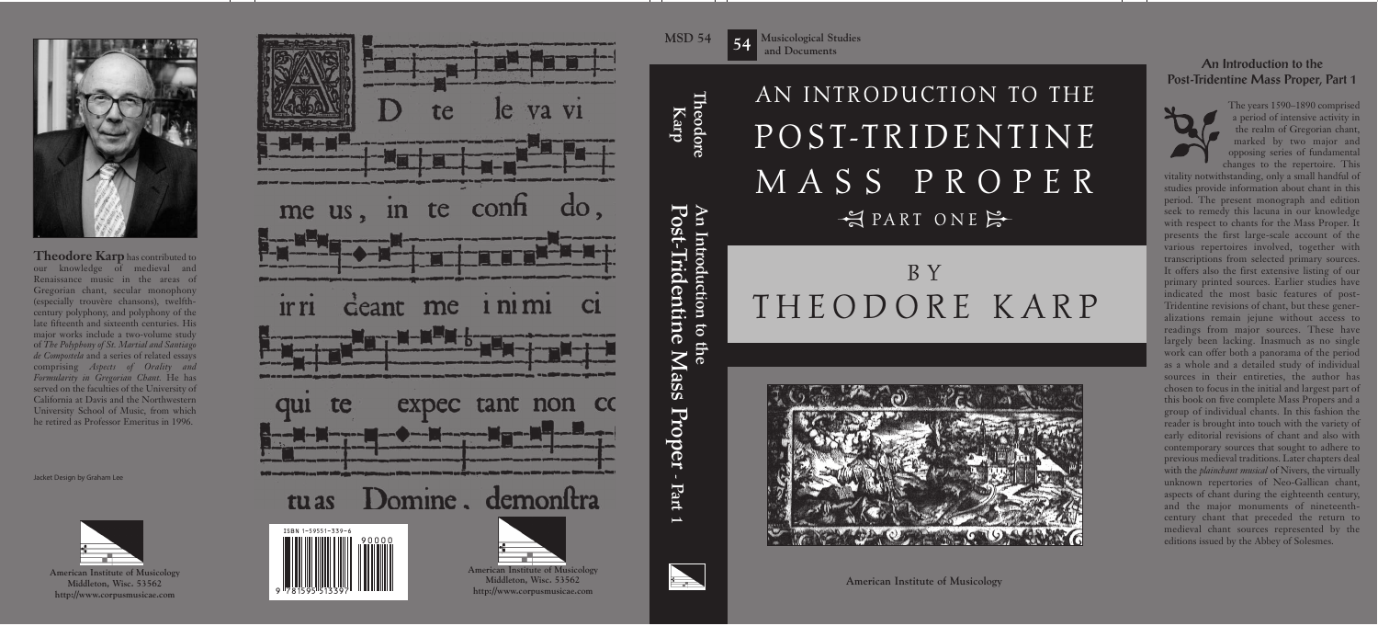# 년 D D T IT D AN INTRODUCTION TO THE P O S T-T R I D E N T I N E M A S S P R O P E R

## **EXECUTE SERVITE SERVITE** B Y T H E O D O R E K A R P



**American Institute of Musicology**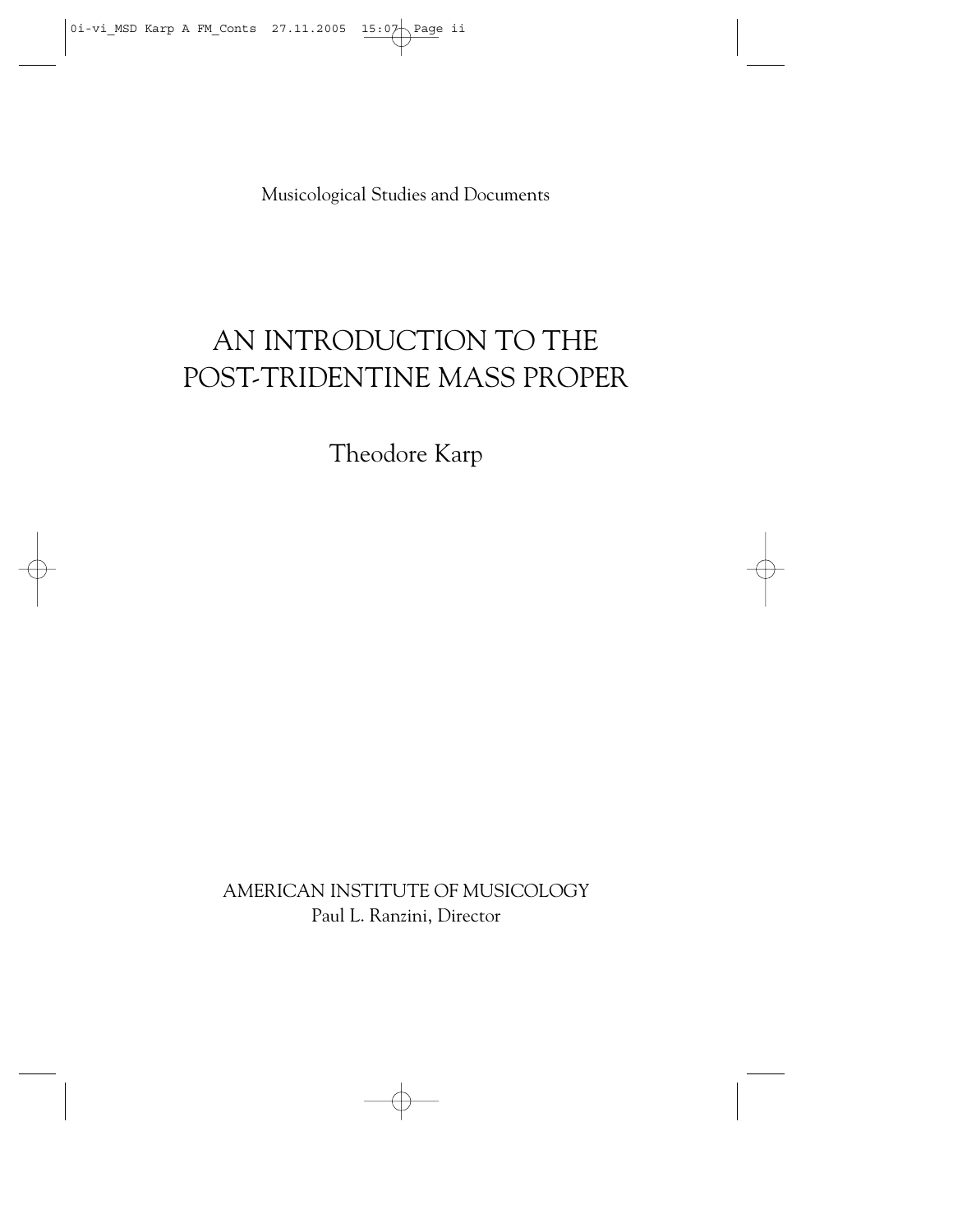Musicological Studies and Documents

## AN INTRODUCTION TO THE POST-TRIDENTINE MASS PROPER

Theodore Karp

AMERICAN INSTITUTE OF MUSICOLOGY Paul L. Ranzini, Director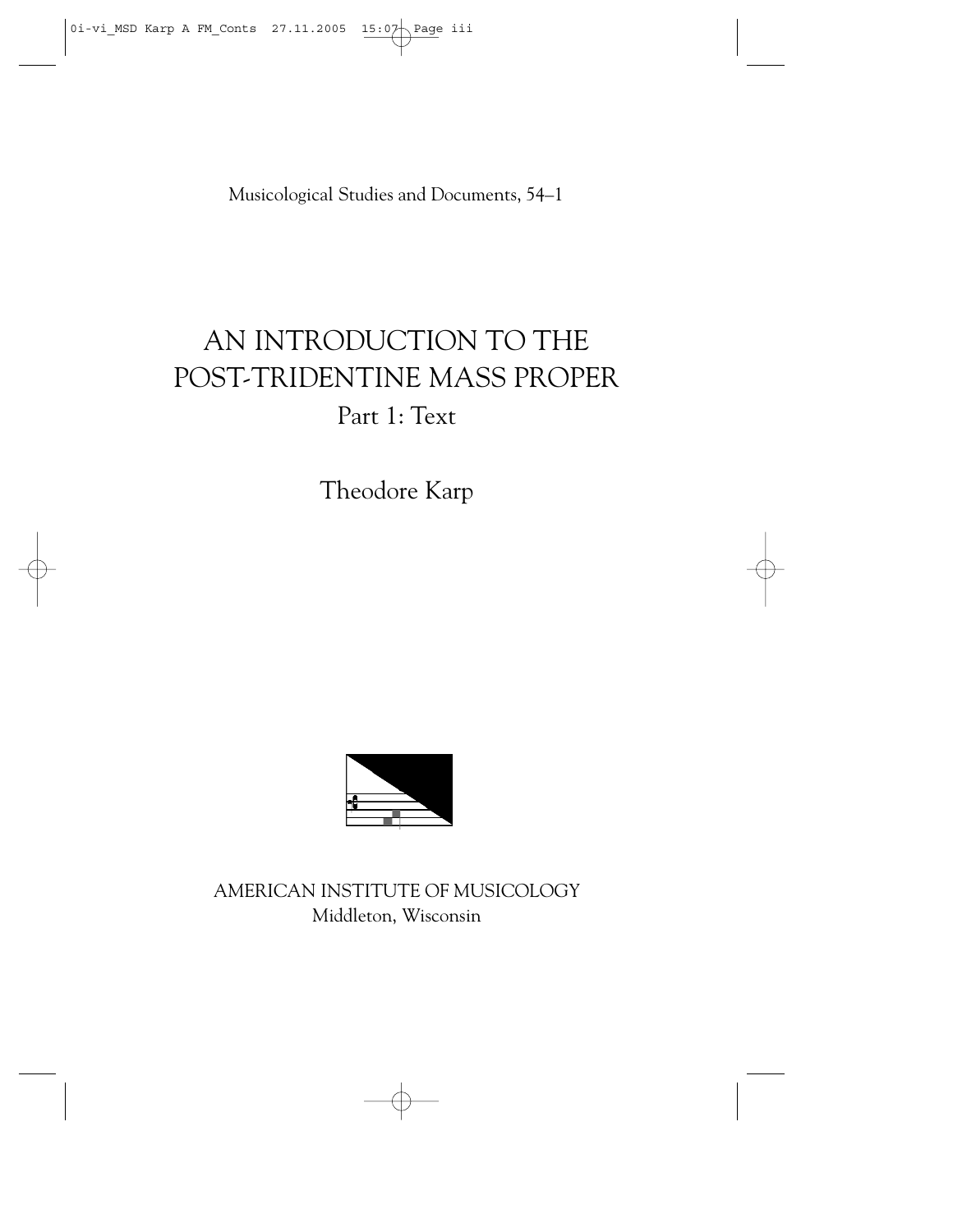Musicological Studies and Documents, 54–1

## AN INTRODUCTION TO THE POST-TRIDENTINE MASS PROPER Part 1: Text

Theodore Karp



AMERICAN INSTITUTE OF MUSICOLOGY Middleton, Wisconsin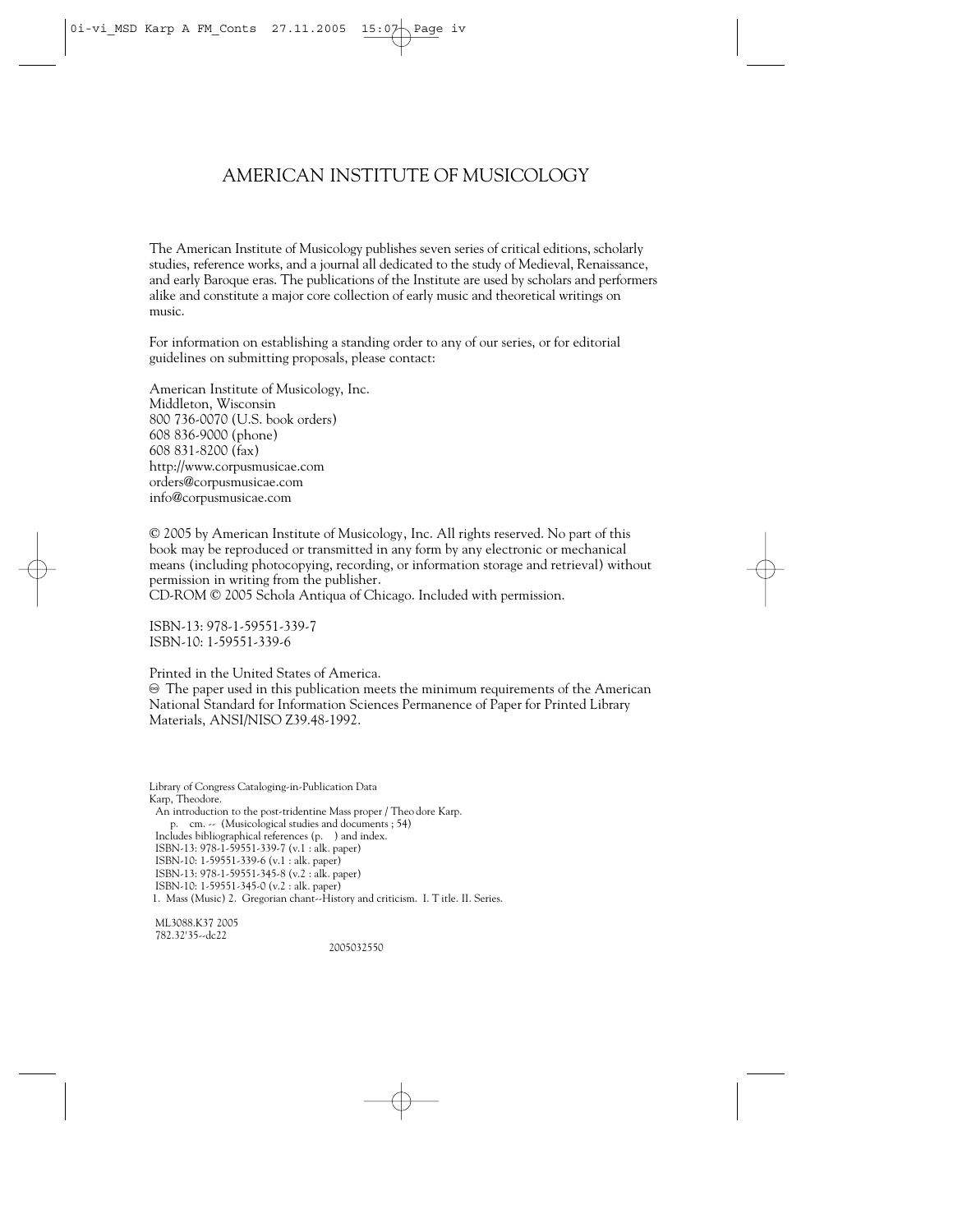#### AMERICAN INSTITUTE OF MUSICOLOGY

The American Institute of Musicology publishes seven series of critical editions, scholarly studies, reference works, and a journal all dedicated to the study of Medieval, Renaissance, and early Baroque eras. The publications of the Institute are used by scholars and performers alike and constitute a major core collection of early music and theoretical writings on music.

For information on establishing a standing order to any of our series, or for editorial guidelines on submitting proposals, please contact:

American Institute of Musicology, Inc. Middleton, Wisconsin 800 736-0070 (U.S. book orders) 608 836-9000 (phone) 608 831-8200 (fax) http://www.corpusmusicae.com orders@corpusmusicae.com info@corpusmusicae.com

© 2005 by American Institute of Musicology, Inc. All rights reserved. No part of this book may be reproduced or transmitted in any form by any electronic or mechanical means (including photocopying, recording, or information storage and retrieval) without permission in writing from the publisher.

CD-ROM © 2005 Schola Antiqua of Chicago. Included with permission.

ISBN-13: 978-1-59551-339-7 ISBN-10: 1-59551-339-6

Printed in the United States of America.

 $\circledast$  The paper used in this publication meets the minimum requirements of the American National Standard for Information Sciences Permanence of Paper for Printed Library Materials, ANSI/NISO Z39.48-1992.

Library of Congress Cataloging-in-Publication Data Karp, Theodore. An introduction to the post-tridentine Mass proper / Theo dore Karp. p. cm. -- (Musicological studies and documents ; 54) Includes bibliographical references (p. ) and index. ISBN-13: 978-1-59551-339-7 (v.1 : alk. paper) ISBN-10: 1-59551-339-6 (v.1 : alk. paper) ISBN-13: 978-1-59551-345-8 (v.2 : alk. paper) ISBN-10: 1-59551-345-0 (v.2 : alk. paper) 1. Mass (Music) 2. Gregorian chant--History and criticism. I. T itle. II. Series.

ML3088.K37 2005 782.32'35--dc22

2005032550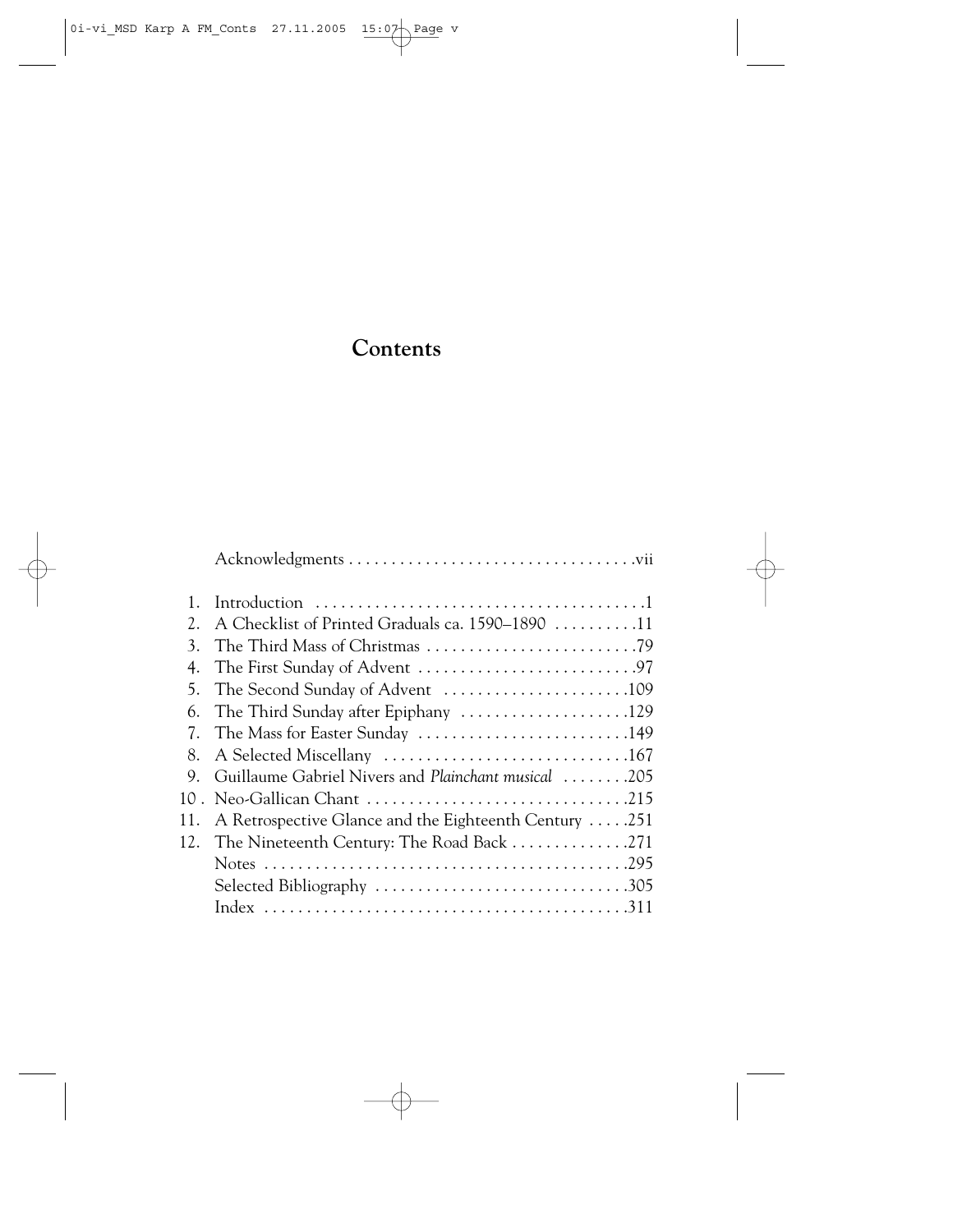#### **Contents**

| 1.  |                                                       |
|-----|-------------------------------------------------------|
| 2.  | A Checklist of Printed Graduals ca. 1590–1890 11      |
| 3.  |                                                       |
|     |                                                       |
|     |                                                       |
| 6.  |                                                       |
|     | 7. The Mass for Easter Sunday 149                     |
| 8.  |                                                       |
| 9.  | Guillaume Gabriel Nivers and Plainchant musical 205   |
|     |                                                       |
| 11. | A Retrospective Glance and the Eighteenth Century 251 |
|     | 12. The Nineteenth Century: The Road Back 271         |
|     |                                                       |
|     |                                                       |
|     |                                                       |
|     |                                                       |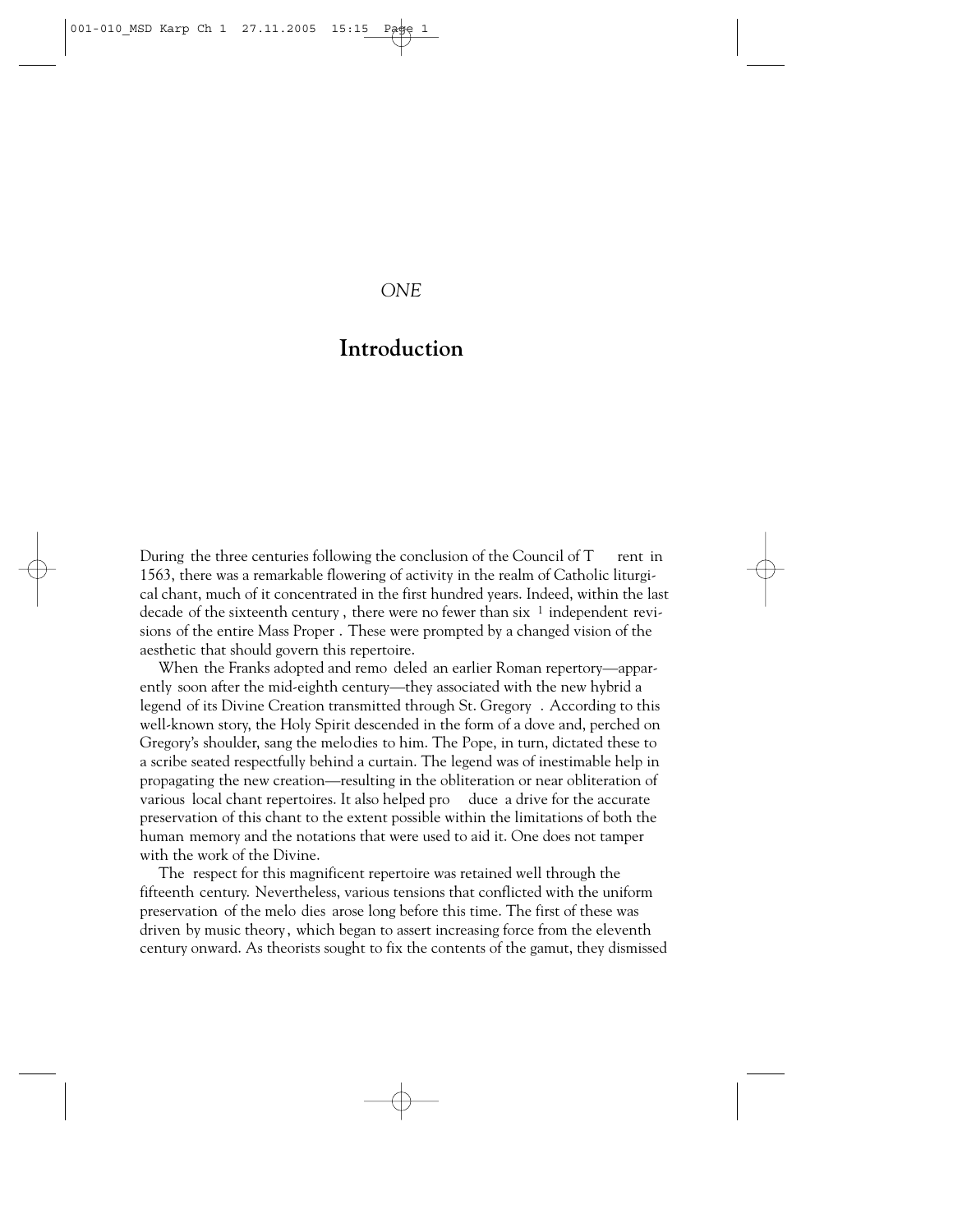#### *ONE*

#### **Introduction**

During the three centuries following the conclusion of the Council of  $T$  rent in 1563, there was a remarkable flowering of activity in the realm of Catholic liturgical chant, much of it concentrated in the first hundred years. Indeed, within the last decade of the sixteenth century, there were no fewer than six  $1$  independent revisions of the entire Mass Proper . These were prompted by a changed vision of the aesthetic that should govern this repertoire.

When the Franks adopted and remo deled an earlier Roman repertory—apparently soon after the mid-eighth century—they associated with the new hybrid a legend of its Divine Creation transmitted through St. Gregory . According to this well-known story, the Holy Spirit descended in the form of a dove and, perched on Gregory's shoulder, sang the melodies to him. The Pope, in turn, dictated these to a scribe seated respectfully behind a curtain. The legend was of inestimable help in propagating the new creation—resulting in the obliteration or near obliteration of various local chant repertoires. It also helped pro duce a drive for the accurate preservation of this chant to the extent possible within the limitations of both the human memory and the notations that were used to aid it. One does not tamper with the work of the Divine.

The respect for this magnificent repertoire was retained well through the fifteenth century. Nevertheless, various tensions that conflicted with the uniform preservation of the melo dies arose long before this time. The first of these was driven by music theory, which began to assert increasing force from the eleventh century onward. As theorists sought to fix the contents of the gamut, they dismissed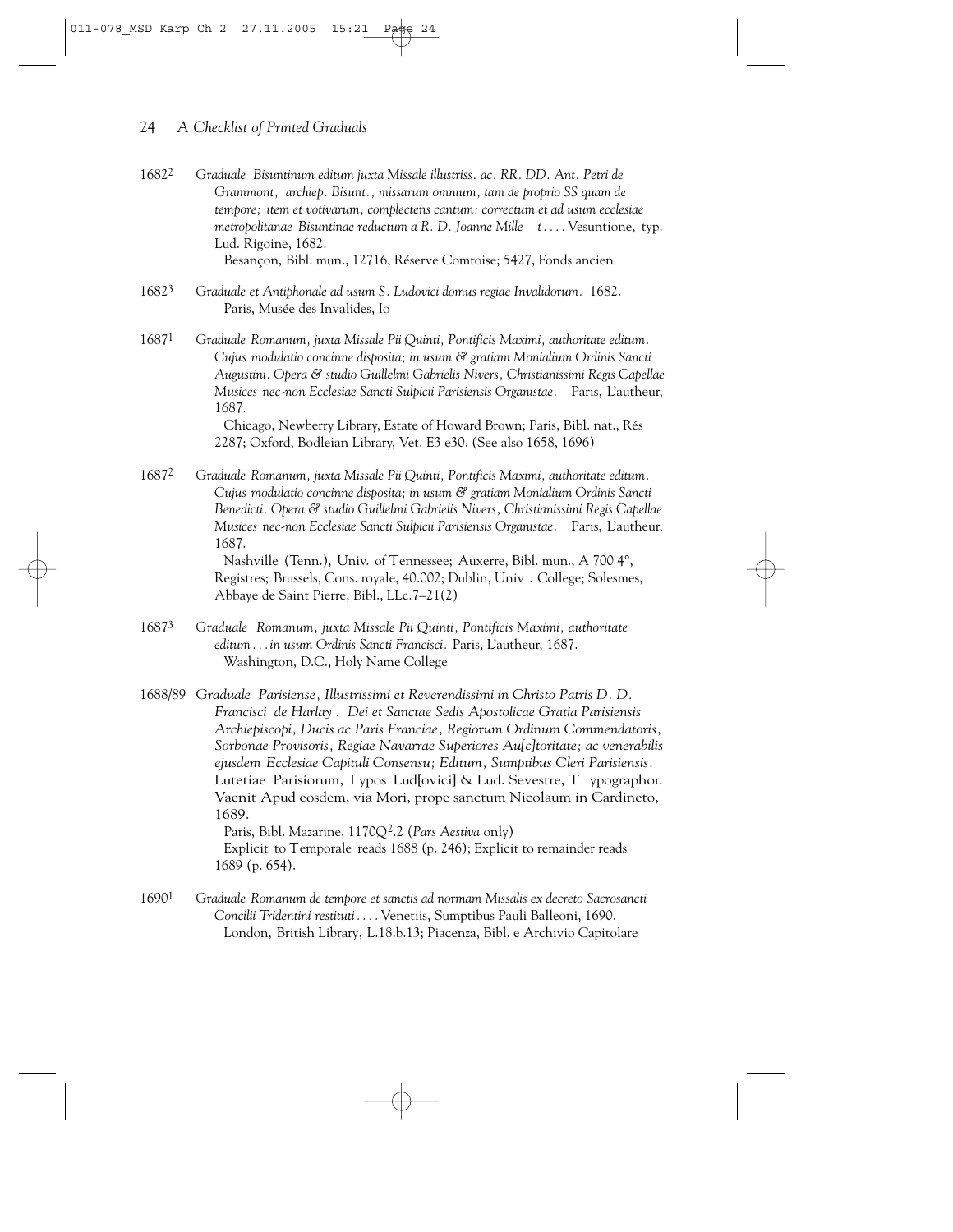- 16822 *Graduale Bisuntinum editum juxta Missale illustriss. ac. RR. DD. Ant. Petri de Grammont, archiep. Bisunt., missarum omnium, tam de proprio SS quam de tempore; item et votivarum, complectens cantum: correctum et ad usum ecclesiae metropolitanae Bisuntinae reductum a R. D. Joanne Mille t....* Vesuntione, typ. Lud. Rigoine, 1682. Besançon, Bibl. mun., 12716, Réserve Comtoise; 5427, Fonds ancien
- 16823 *Graduale et Antiphonale ad usum S. Ludovici domus regiae Invalidorum.* 1682. Paris, Musée des Invalides, Io
- 16871 *Graduale Romanum, juxta Missale Pii Quinti, Pontificis Maximi, authoritate editum. Cujus modulatio concinne disposita; in usum & gratiam Monialium Ordinis Sancti Augustini. Opera & studio Guillelmi Gabrielis Nivers, Christianissimi Regis Capellae Musices nec-non Ecclesiae Sancti Sulpicii Parisiensis Organistae.* Paris, L'autheur, 1687. Chicago, Newberry Library, Estate of Howard Brown; Paris, Bibl. nat., Rés

2287; Oxford, Bodleian Library, Vet. E3 e30. (See also 1658, 1696)

16872 *Graduale Romanum, juxta Missale Pii Quinti, Pontificis Maximi, authoritate editum. Cujus modulatio concinne disposita; in usum & gratiam Monialium Ordinis Sancti Benedicti. Opera & studio Guillelmi Gabrielis Nivers, Christianissimi Regis Capellae Musices nec-non Ecclesiae Sancti Sulpicii Parisiensis Organistae.* Paris, L'autheur, 1687.

Nashville (Tenn.), Univ. of Tennessee; Auxerre, Bibl. mun., A 700 4°, Registres; Brussels, Cons. royale, 40.002; Dublin, Univ . College; Solesmes, Abbaye de Saint Pierre, Bibl., LLc.7–21(2)

16873 *Graduale Romanum, juxta Missale Pii Quinti, Pontificis Maximi, authoritate editum...in usum Ordinis Sancti Francisci.* Paris, L'autheur, 1687. Washington, D.C., Holy Name College

1688/*89 Graduale Parisiense, Illustrissimi et Reverendissimi in Christo Patris D. D. Francisci de Harlay . Dei et Sanctae Sedis Apostolicae Gratia Parisiensis Archiepiscopi, Ducis ac Paris Franciae, Regiorum Ordinum Commendatoris, Sorbonae Provisoris, Regiae Navarrae Superiores Au[c]toritate; ac venerabilis ejusdem Ecclesiae Capituli Consensu; Editum, Sumptibus Cleri Parisiensis.* Lutetiae Parisiorum, Typos Lud[ovici] & Lud. Sevestre, T ypographor. Vaenit Apud eosdem, via Mori, prope sanctum Nicolaum in Cardineto, 1689. Paris, Bibl. Mazarine, 1170Q<sup>2</sup>.2 (*Pars Aestiva* only)

Explicit to Temporale reads 1688 (p. 246); Explicit to remainder reads 1689 (p. 654).

16901 *Graduale Romanum de tempore et sanctis ad normam Missalis ex decreto Sacrosancti Concilii Tridentini restituti....* Venetiis, Sumptibus Pauli Balleoni, 1690. London, British Library, L.18.b.13; Piacenza, Bibl. e Archivio Capitolare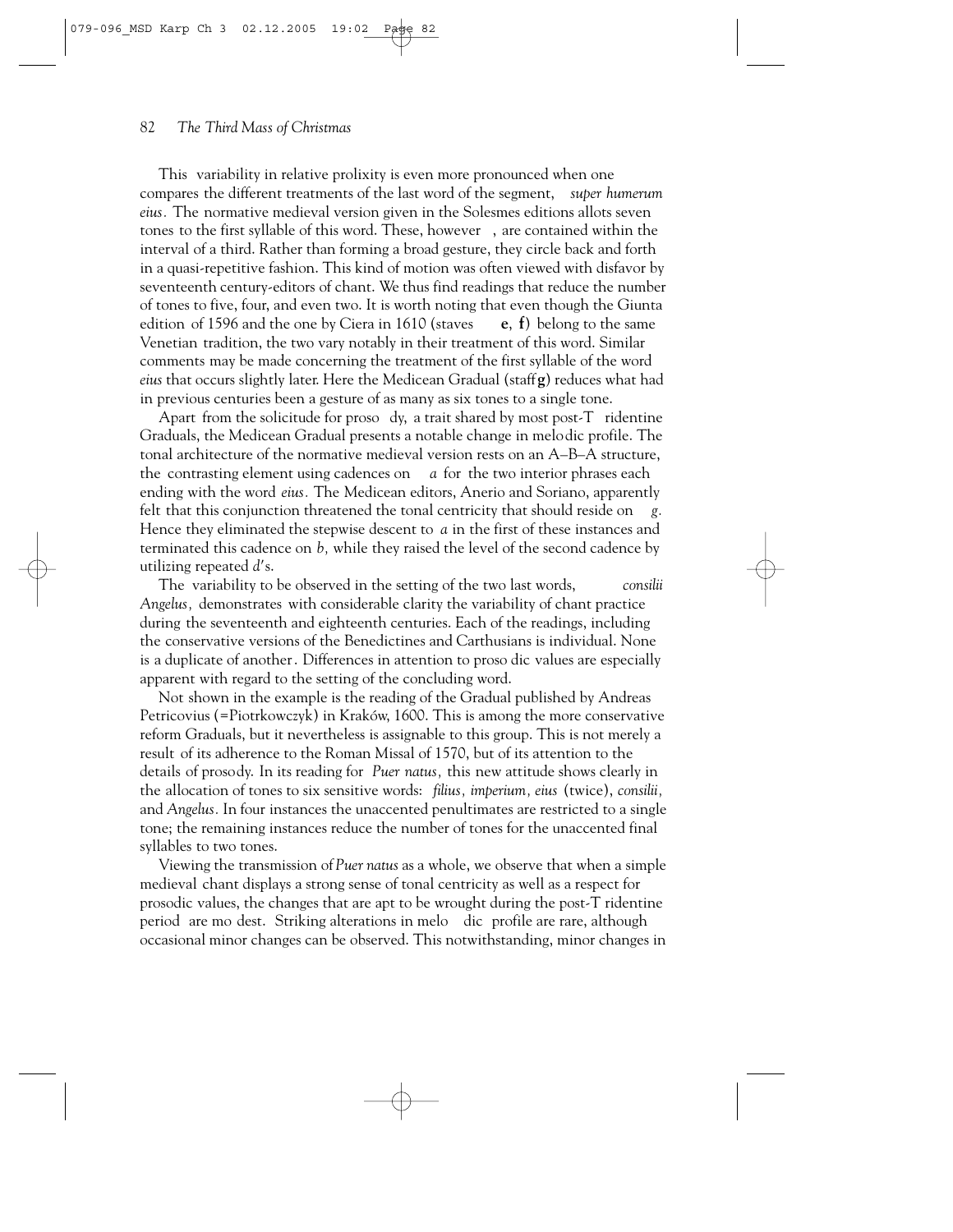#### 82 *The Third Mass of Christmas*

This variability in relative prolixity is even more pronounced when one compares the different treatments of the last word of the segment, *super humerum eius.* The normative medieval version given in the Solesmes editions allots seven tones to the first syllable of this word. These, however , are contained within the interval of a third. Rather than forming a broad gesture, they circle back and forth in a quasi-repetitive fashion. This kind of motion was often viewed with disfavor by seventeenth century-editors of chant. We thus find readings that reduce the number of tones to five, four, and even two. It is worth noting that even though the Giunta edition of 1596 and the one by Ciera in 1610 (staves **e**, **f**) belong to the same Venetian tradition, the two vary notably in their treatment of this word. Similar comments may be made concerning the treatment of the first syllable of the word *eius* that occurs slightly later. Here the Medicean Gradual (staff **g**) reduces what had in previous centuries been a gesture of as many as six tones to a single tone.

Apart from the solicitude for proso dy, a trait shared by most post-T ridentine Graduals, the Medicean Gradual presents a notable change in melodic profile. The tonal architecture of the normative medieval version rests on an A–B–A structure, the contrasting element using cadences on *a* for the two interior phrases each ending with the word *eius.* The Medicean editors, Anerio and Soriano, apparently felt that this conjunction threatened the tonal centricity that should reside on *g.* Hence they eliminated the stepwise descent to *a* in the first of these instances and terminated this cadence on *b,* while they raised the level of the second cadence by utilizing repeated d's.

The variability to be observed in the setting of the two last words, *consilii Angelus,* demonstrates with considerable clarity the variability of chant practice during the seventeenth and eighteenth centuries. Each of the readings, including the conservative versions of the Benedictines and Carthusians is individual. None is a duplicate of another. Differences in attention to proso dic values are especially apparent with regard to the setting of the concluding word.

Not shown in the example is the reading of the Gradual published by Andreas Petricovius (=Piotrkowczyk) in Kraków, 1600. This is among the more conservative reform Graduals, but it nevertheless is assignable to this group. This is not merely a result of its adherence to the Roman Missal of 1570, but of its attention to the details of prosody. In its reading for *Puer natus,* this new attitude shows clearly in the allocation of tones to six sensitive words: *filius, imperium, eius* (twice), *consilii,* and *Angelus.* In four instances the unaccented penultimates are restricted to a single tone; the remaining instances reduce the number of tones for the unaccented final syllables to two tones.

Viewing the transmission of *Puer natus* as a whole, we observe that when a simple medieval chant displays a strong sense of tonal centricity as well as a respect for prosodic values, the changes that are apt to be wrought during the post-T ridentine period are mo dest. Striking alterations in melo dic profile are rare, although occasional minor changes can be observed. This notwithstanding, minor changes in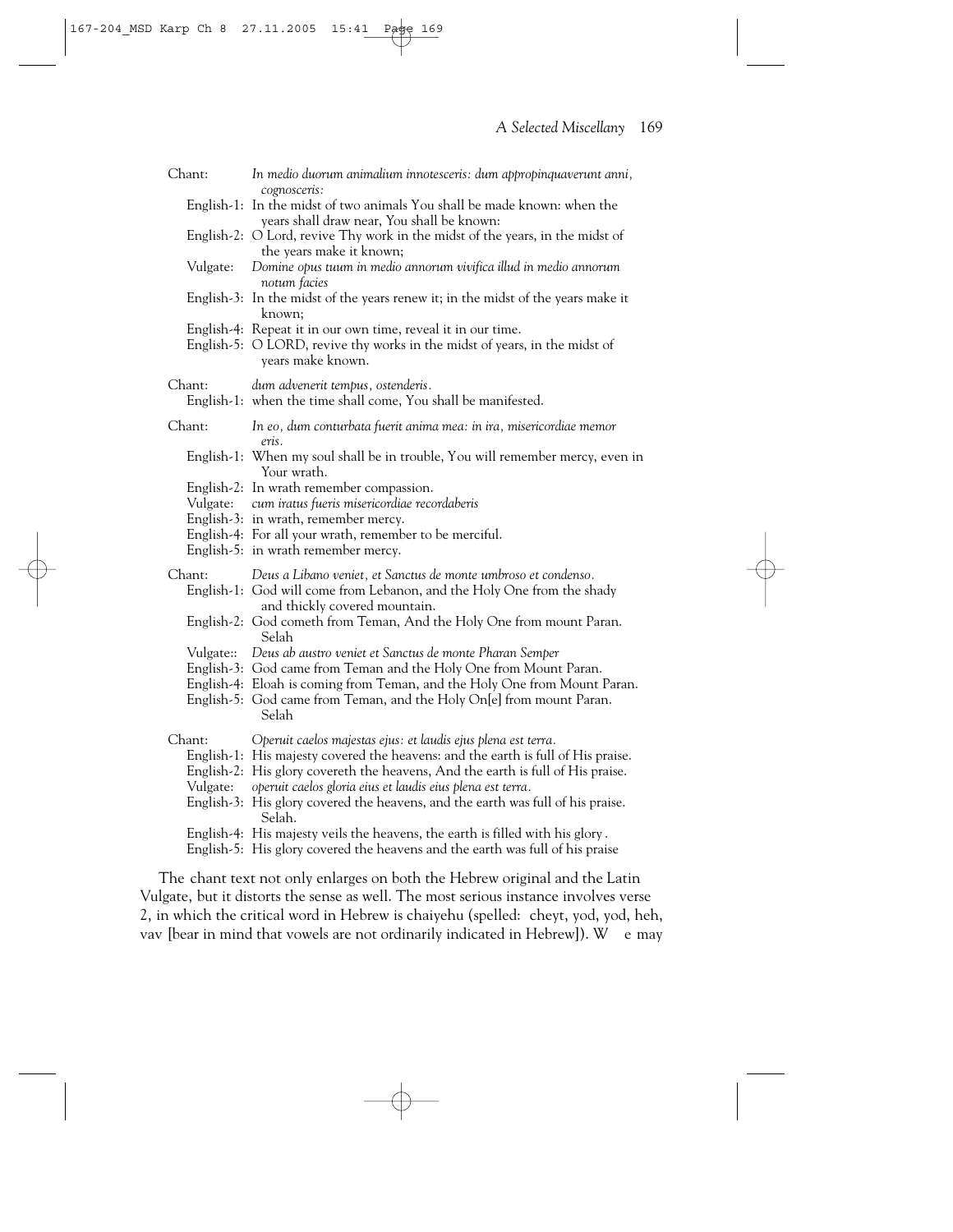| Chant:             | In medio duorum animalium innotesceris: dum appropinquaverunt anni,                                                                                                                                                                                                                                                                                                                             |
|--------------------|-------------------------------------------------------------------------------------------------------------------------------------------------------------------------------------------------------------------------------------------------------------------------------------------------------------------------------------------------------------------------------------------------|
|                    | cognosceris:<br>English-1: In the midst of two animals You shall be made known: when the<br>years shall draw near, You shall be known:                                                                                                                                                                                                                                                          |
|                    | English-2: O Lord, revive Thy work in the midst of the years, in the midst of                                                                                                                                                                                                                                                                                                                   |
| Vulgate:           | the years make it known;<br>Domine opus tuum in medio annorum vivifica illud in medio annorum<br>notum facies                                                                                                                                                                                                                                                                                   |
|                    | English-3: In the midst of the years renew it; in the midst of the years make it<br>known;                                                                                                                                                                                                                                                                                                      |
|                    | English-4: Repeat it in our own time, reveal it in our time.<br>English-5: O LORD, revive thy works in the midst of years, in the midst of<br>years make known.                                                                                                                                                                                                                                 |
| Chant:             | dum advenerit tempus, ostenderis.<br>English-1: when the time shall come, You shall be manifested.                                                                                                                                                                                                                                                                                              |
| Chant:             | In eo, dum conturbata fuerit anima mea: in ira, misericordiae memor<br>eris.                                                                                                                                                                                                                                                                                                                    |
|                    | English-1: When my soul shall be in trouble, You will remember mercy, even in<br>Your wrath.                                                                                                                                                                                                                                                                                                    |
|                    | English-2: In wrath remember compassion.<br>Vulgate: cum iratus fueris misericordiae recordaberis<br>English-3: in wrath, remember mercy.<br>English-4: For all your wrath, remember to be merciful.                                                                                                                                                                                            |
|                    | English-5: in wrath remember mercy.                                                                                                                                                                                                                                                                                                                                                             |
| Chant:             | Deus a Libano veniet, et Sanctus de monte umbroso et condenso.<br>English-1: God will come from Lebanon, and the Holy One from the shady<br>and thickly covered mountain.                                                                                                                                                                                                                       |
|                    | English-2: God cometh from Teman, And the Holy One from mount Paran.<br>Selah                                                                                                                                                                                                                                                                                                                   |
| Vulgate::          | Deus ab austro veniet et Sanctus de monte Pharan Semper<br>English-3: God came from Teman and the Holy One from Mount Paran.<br>English-4: Eloah is coming from Teman, and the Holy One from Mount Paran.<br>English-5: God came from Teman, and the Holy On[e] from mount Paran.<br>Selah                                                                                                      |
| Chant:<br>Vulgate: | Operuit caelos majestas ejus: et laudis ejus plena est terra.<br>English-1: His majesty covered the heavens: and the earth is full of His praise.<br>English-2: His glory covereth the heavens, And the earth is full of His praise.<br>operuit caelos gloria eius et laudis eius plena est terra.<br>English-3: His glory covered the heavens, and the earth was full of his praise.<br>Selah. |
|                    | English-4: His majesty veils the heavens, the earth is filled with his glory.<br>English-5: His glory covered the heavens and the earth was full of his praise                                                                                                                                                                                                                                  |

The chant text not only enlarges on both the Hebrew original and the Latin Vulgate, but it distorts the sense as well. The most serious instance involves verse 2, in which the critical word in Hebrew is chaiyehu (spelled: cheyt, yod, yod, heh, vav [bear in mind that vowels are not ordinarily indicated in Hebrew]). W e may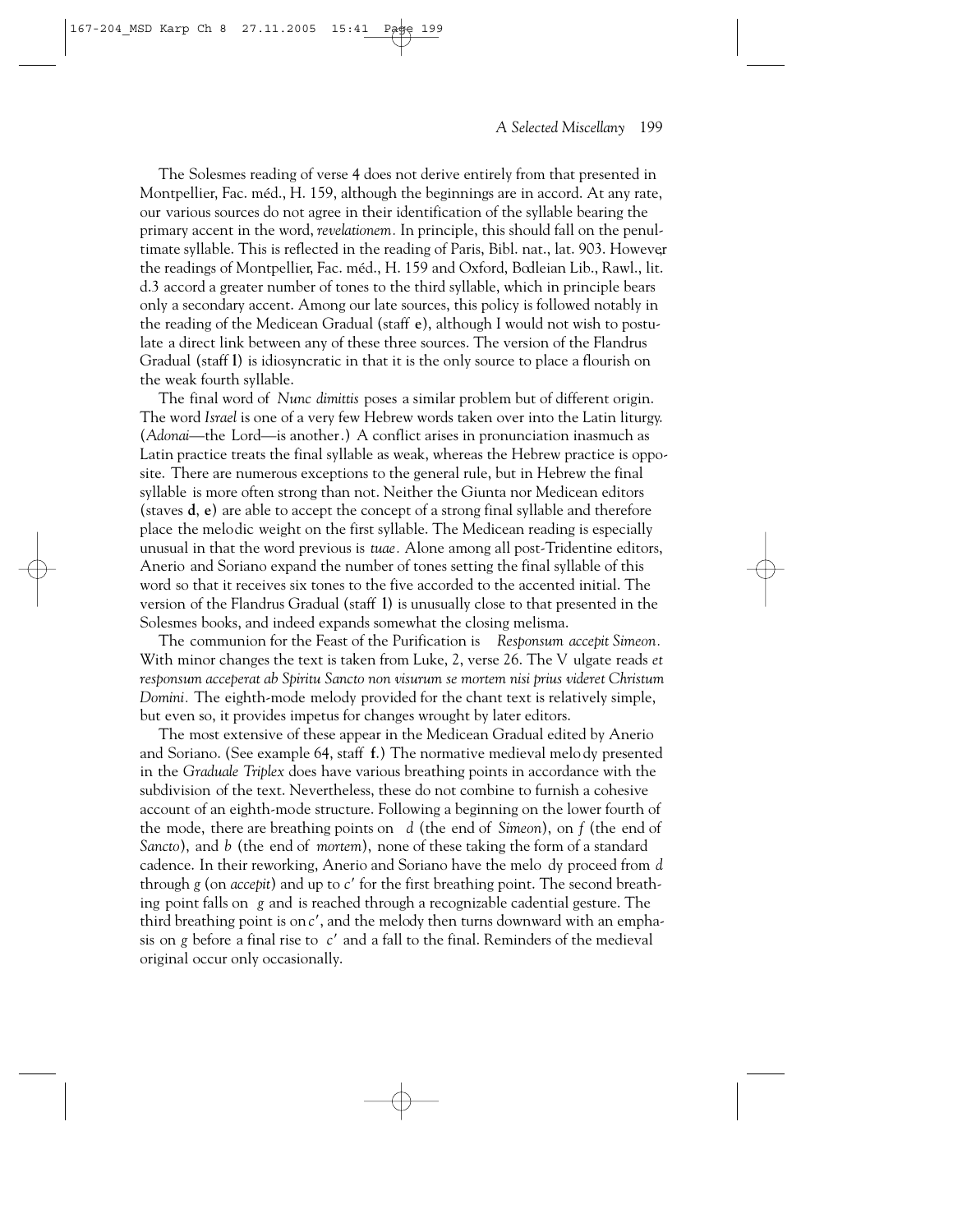The Solesmes reading of verse 4 does not derive entirely from that presented in Montpellier, Fac. méd., H. 159, although the beginnings are in accord. At any rate, our various sources do not agree in their identification of the syllable bearing the primary accent in the word, *revelationem.* In principle, this should fall on the penultimate syllable. This is reflected in the reading of Paris, Bibl. nat., lat. 903. However, the readings of Montpellier, Fac. méd., H. 159 and Oxford, Bodleian Lib., Rawl., lit. d.3 accord a greater number of tones to the third syllable, which in principle bears only a secondary accent. Among our late sources, this policy is followed notably in the reading of the Medicean Gradual (staff **e**), although I would not wish to postulate a direct link between any of these three sources. The version of the Flandrus Gradual (staff **l**) is idiosyncratic in that it is the only source to place a flourish on the weak fourth syllable.

The final word of *Nunc dimittis* poses a similar problem but of different origin. The word *Israel* is one of a very few Hebrew words taken over into the Latin liturgy. (*Adonai*—the Lord—is another.) A conflict arises in pronunciation inasmuch as Latin practice treats the final syllable as weak, whereas the Hebrew practice is opposite. There are numerous exceptions to the general rule, but in Hebrew the final syllable is more often strong than not. Neither the Giunta nor Medicean editors (staves **d**, **e**) are able to accept the concept of a strong final syllable and therefore place the melodic weight on the first syllable. The Medicean reading is especially unusual in that the word previous is *tuae.* Alone among all post-Tridentine editors, Anerio and Soriano expand the number of tones setting the final syllable of this word so that it receives six tones to the five accorded to the accented initial. The version of the Flandrus Gradual (staff **l**) is unusually close to that presented in the Solesmes books, and indeed expands somewhat the closing melisma.

The communion for the Feast of the Purification is *Responsum accepit Simeon.* With minor changes the text is taken from Luke, 2, verse 26. The V ulgate reads *et responsum acceperat ab Spiritu Sancto non visurum se mortem nisi prius videret Christum Domini.* The eighth-mode melody provided for the chant text is relatively simple, but even so, it provides impetus for changes wrought by later editors.

The most extensive of these appear in the Medicean Gradual edited by Anerio and Soriano. (See example 64, staff **f**.) The normative medieval melo dy presented in the *Graduale Triplex* does have various breathing points in accordance with the subdivision of the text. Nevertheless, these do not combine to furnish a cohesive account of an eighth-mode structure. Following a beginning on the lower fourth of the mode, there are breathing points on *d* (the end of *Simeon*), on *f* (the end of *Sancto*), and *b* (the end of *mortem*), none of these taking the form of a standard cadence. In their reworking, Anerio and Soriano have the melo dy proceed from *d* through  $g$  (on *accepit*) and up to  $c'$  for the first breathing point. The second breathing point falls on *g* and is reached through a recognizable cadential gesture. The third breathing point is on *c*, and the melody then turns downward with an emphasis on *g* before a final rise to *c* and a fall to the final. Reminders of the medieval original occur only occasionally.